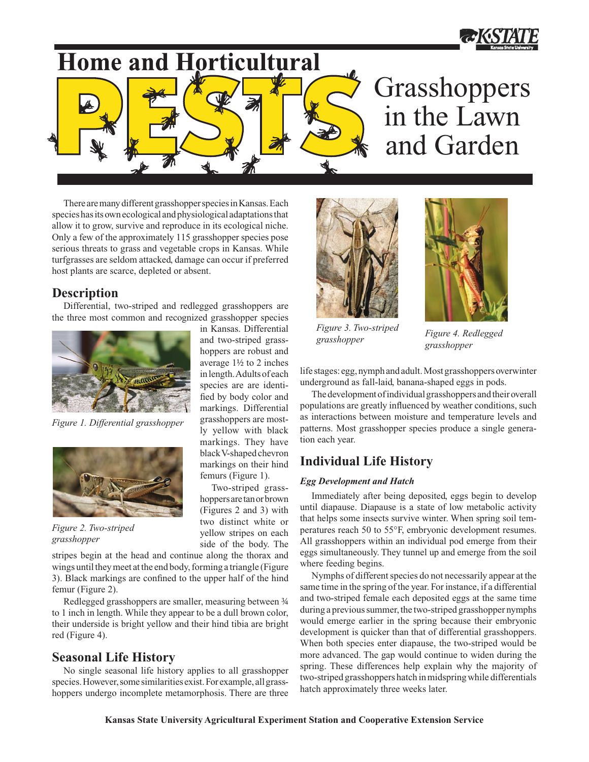

# **Home and Horticultural**

## Grasshoppers in the Lawn and Garden

There are many different grasshopper species in Kansas. Each species has its own ecological and physiological adaptations that allow it to grow, survive and reproduce in its ecological niche. Only a few of the approximately 115 grasshopper species pose serious threats to grass and vegetable crops in Kansas. While turfgrasses are seldom attacked, damage can occur if preferred host plants are scarce, depleted or absent.

## **Description**

Differential, two-striped and redlegged grasshoppers are the three most common and recognized grasshopper species

> in Kansas. Differential and two-striped grasshoppers are robust and average 1½ to 2 inches in length. Adults of each species are are identified by body color and markings. Differential grasshoppers are mostly yellow with black markings. They have black V-shaped chevron markings on their hind femurs (Figure 1). Two-striped grasshoppers are tan or brown (Figures 2 and 3) with two distinct white or yellow stripes on each side of the body. The



*Figure 1. Differential grasshopper* 



*Figure 2. Two-striped grasshopper* 

stripes begin at the head and continue along the thorax and wings until they meet at the end body, forming a triangle (Figure 3). Black markings are confined to the upper half of the hind femur (Figure 2).

Redlegged grasshoppers are smaller, measuring between ¾ to 1 inch in length. While they appear to be a dull brown color, their underside is bright yellow and their hind tibia are bright red (Figure 4).

## **Seasonal Life History**

No single seasonal life history applies to all grasshopper species. However, some similarities exist. For example, all grasshoppers undergo incomplete metamorphosis. There are three





*Figure 3. Two-striped grasshopper* 

*Figure 4. Redlegged grasshopper* 

life stages: egg, nymph and adult. Most grasshoppers overwinter underground as fall-laid, banana-shaped eggs in pods.

The development of individual grasshoppers and their overall populations are greatly influenced by weather conditions, such as interactions between moisture and temperature levels and patterns. Most grasshopper species produce a single generation each year.

## **Individual Life History**

#### *Egg Development and Hatch*

Immediately after being deposited, eggs begin to develop until diapause. Diapause is a state of low metabolic activity that helps some insects survive winter. When spring soil temperatures reach 50 to 55°F, embryonic development resumes. All grasshoppers within an individual pod emerge from their eggs simultaneously. They tunnel up and emerge from the soil where feeding begins.

Nymphs of different species do not necessarily appear at the same time in the spring of the year. For instance, if a differential and two-striped female each deposited eggs at the same time during a previous summer, the two-striped grasshopper nymphs would emerge earlier in the spring because their embryonic development is quicker than that of differential grasshoppers. When both species enter diapause, the two-striped would be more advanced. The gap would continue to widen during the spring. These differences help explain why the majority of two-striped grasshoppers hatch in midspring while differentials hatch approximately three weeks later.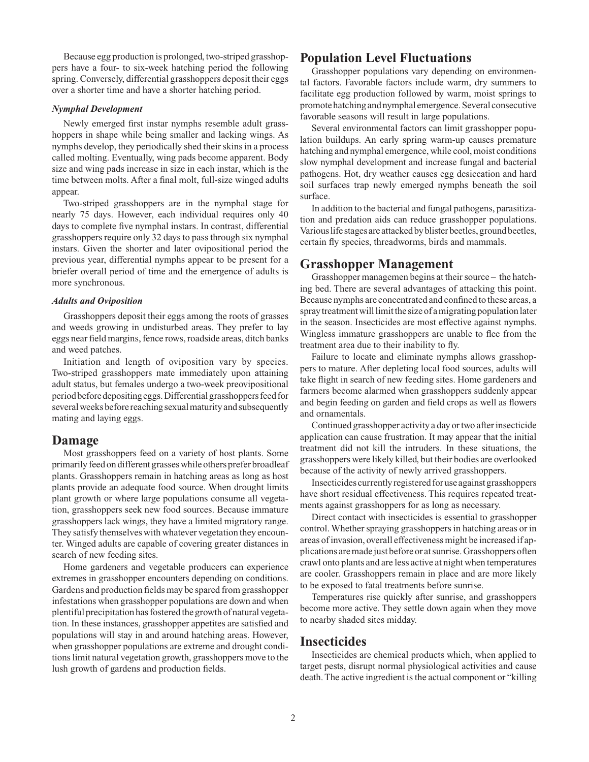Because egg production is prolonged, two-striped grasshoppers have a four- to six-week hatching period the following spring. Conversely, differential grasshoppers deposit their eggs over a shorter time and have a shorter hatching period.

#### *Nymphal Development*

Newly emerged first instar nymphs resemble adult grasshoppers in shape while being smaller and lacking wings. As nymphs develop, they periodically shed their skins in a process called molting. Eventually, wing pads become apparent. Body size and wing pads increase in size in each instar, which is the time between molts. After a final molt, full-size winged adults appear.

Two-striped grasshoppers are in the nymphal stage for nearly 75 days. However, each individual requires only 40 days to complete five nymphal instars. In contrast, differential grasshoppers require only 32 days to pass through six nymphal instars. Given the shorter and later ovipositional period the previous year, differential nymphs appear to be present for a briefer overall period of time and the emergence of adults is more synchronous.

#### *Adults and Oviposition*

Grasshoppers deposit their eggs among the roots of grasses and weeds growing in undisturbed areas. They prefer to lay eggs near field margins, fence rows, roadside areas, ditch banks and weed patches.

Initiation and length of oviposition vary by species. Two-striped grasshoppers mate immediately upon attaining adult status, but females undergo a two-week preovipositional period before depositing eggs. Differential grasshoppers feed for several weeks before reaching sexual maturity and subsequently mating and laying eggs.

#### **Damage**

Most grasshoppers feed on a variety of host plants. Some primarily feed on different grasses while others prefer broadleaf plants. Grasshoppers remain in hatching areas as long as host plants provide an adequate food source. When drought limits plant growth or where large populations consume all vegetation, grasshoppers seek new food sources. Because immature grasshoppers lack wings, they have a limited migratory range. They satisfy themselves with whatever vegetation they encounter. Winged adults are capable of covering greater distances in search of new feeding sites.

Home gardeners and vegetable producers can experience extremes in grasshopper encounters depending on conditions. Gardens and production fields may be spared from grasshopper infestations when grasshopper populations are down and when plentiful precipitation has fostered the growth of natural vegetation. In these instances, grasshopper appetites are satisfied and populations will stay in and around hatching areas. However, when grasshopper populations are extreme and drought conditions limit natural vegetation growth, grasshoppers move to the lush growth of gardens and production fields.

### **Population Level Fluctuations**

Grasshopper populations vary depending on environmental factors. Favorable factors include warm, dry summers to facilitate egg production followed by warm, moist springs to promote hatching and nymphal emergence. Several consecutive favorable seasons will result in large populations.

Several environmental factors can limit grasshopper population buildups. An early spring warm-up causes premature hatching and nymphal emergence, while cool, moist conditions slow nymphal development and increase fungal and bacterial pathogens. Hot, dry weather causes egg desiccation and hard soil surfaces trap newly emerged nymphs beneath the soil surface.

In addition to the bacterial and fungal pathogens, parasitization and predation aids can reduce grasshopper populations. Various life stages are attacked by blister beetles, ground beetles, certain fly species, threadworms, birds and mammals.

#### **Grasshopper Management**

Grasshopper managemen begins at their source – the hatching bed. There are several advantages of attacking this point. Because nymphs are concentrated and confined to these areas, a spray treatment will limit the size of a migrating population later in the season. Insecticides are most effective against nymphs. Wingless immature grasshoppers are unable to flee from the treatment area due to their inability to fly.

Failure to locate and eliminate nymphs allows grasshoppers to mature. After depleting local food sources, adults will take flight in search of new feeding sites. Home gardeners and farmers become alarmed when grasshoppers suddenly appear and begin feeding on garden and field crops as well as flowers and ornamentals.

Continued grasshopper activity a day or two after insecticide application can cause frustration. It may appear that the initial treatment did not kill the intruders. In these situations, the grasshoppers were likely killed, but their bodies are overlooked because of the activity of newly arrived grasshoppers.

Insecticides currently registered for use against grasshoppers have short residual effectiveness. This requires repeated treatments against grasshoppers for as long as necessary.

Direct contact with insecticides is essential to grasshopper control. Whether spraying grasshoppers in hatching areas or in areas of invasion, overall effectiveness might be increased if applications are made just before or at sunrise. Grasshoppers often crawl onto plants and are less active at night when temperatures are cooler. Grasshoppers remain in place and are more likely to be exposed to fatal treatments before sunrise.

Temperatures rise quickly after sunrise, and grasshoppers become more active. They settle down again when they move to nearby shaded sites midday.

#### **Insecticides**

Insecticides are chemical products which, when applied to target pests, disrupt normal physiological activities and cause death. The active ingredient is the actual component or "killing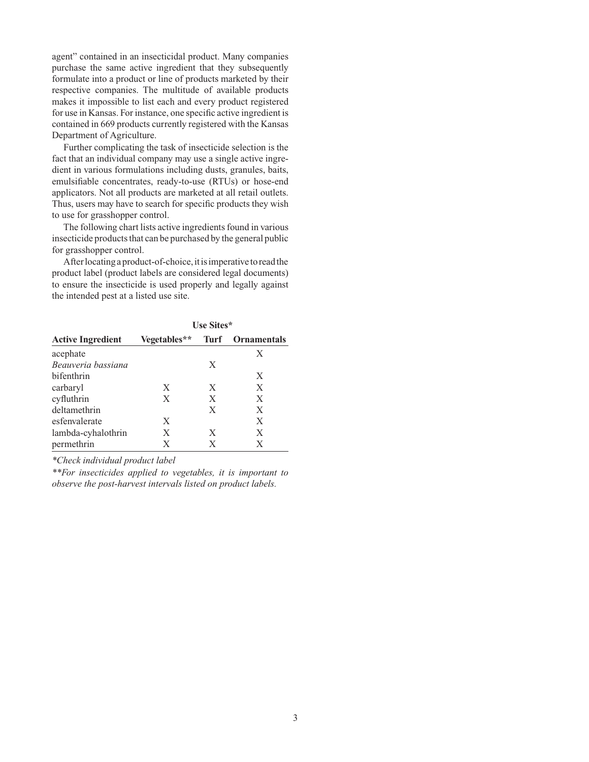agent" contained in an insecticidal product. Many companies purchase the same active ingredient that they subsequently formulate into a product or line of products marketed by their respective companies. The multitude of available products makes it impossible to list each and every product registered for use in Kansas. For instance, one specific active ingredient is contained in 669 products currently registered with the Kansas Department of Agriculture.

Further complicating the task of insecticide selection is the fact that an individual company may use a single active ingredient in various formulations including dusts, granules, baits, emulsifiable concentrates, ready-to-use (RTUs) or hose-end applicators. Not all products are marketed at all retail outlets. Thus, users may have to search for specific products they wish to use for grasshopper control.

The following chart lists active ingredients found in various insecticide products that can be purchased by the general public for grasshopper control.

After locating a product-of-choice, it is imperative to read the product label (product labels are considered legal documents) to ensure the insecticide is used properly and legally against the intended pest at a listed use site.

| <b>Active Ingredient</b> | Use Sites*   |      |                    |
|--------------------------|--------------|------|--------------------|
|                          | Vegetables** | Turf | <b>Ornamentals</b> |
| acephate                 |              |      | X                  |
| Beauveria bassiana       |              | X    |                    |
| bifenthrin               |              |      | X                  |
| carbaryl                 | X            | X    | X                  |
| cyfluthrin               | X            | X    | X                  |
| deltamethrin             |              | X    | X                  |
| esfenvalerate            | X            |      | X                  |
| lambda-cyhalothrin       | X            | X    | X                  |
| permethrin               | X            | X    | X                  |

*\*Check individual product label*

*\*\*For insecticides applied to vegetables, it is important to observe the post-harvest intervals listed on product labels.*